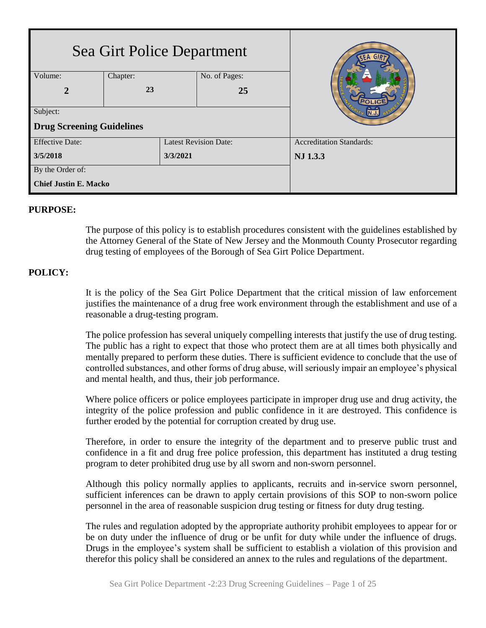| Sea Girt Police Department       |          |                              |               | SEA GIR                         |  |
|----------------------------------|----------|------------------------------|---------------|---------------------------------|--|
| Volume:                          | Chapter: |                              | No. of Pages: |                                 |  |
| $\overline{2}$                   | 23       |                              | 25            |                                 |  |
| Subject:                         |          |                              |               |                                 |  |
| <b>Drug Screening Guidelines</b> |          |                              |               |                                 |  |
| <b>Effective Date:</b>           |          | <b>Latest Revision Date:</b> |               | <b>Accreditation Standards:</b> |  |
| 3/5/2018                         |          | 3/3/2021                     |               | NJ 1.3.3                        |  |
| By the Order of:                 |          |                              |               |                                 |  |
| <b>Chief Justin E. Macko</b>     |          |                              |               |                                 |  |

#### **PURPOSE:**

The purpose of this policy is to establish procedures consistent with the guidelines established by the Attorney General of the State of New Jersey and the Monmouth County Prosecutor regarding drug testing of employees of the Borough of Sea Girt Police Department.

## **POLICY:**

It is the policy of the Sea Girt Police Department that the critical mission of law enforcement justifies the maintenance of a drug free work environment through the establishment and use of a reasonable a drug-testing program.

The police profession has several uniquely compelling interests that justify the use of drug testing. The public has a right to expect that those who protect them are at all times both physically and mentally prepared to perform these duties. There is sufficient evidence to conclude that the use of controlled substances, and other forms of drug abuse, will seriously impair an employee's physical and mental health, and thus, their job performance.

Where police officers or police employees participate in improper drug use and drug activity, the integrity of the police profession and public confidence in it are destroyed. This confidence is further eroded by the potential for corruption created by drug use.

Therefore, in order to ensure the integrity of the department and to preserve public trust and confidence in a fit and drug free police profession, this department has instituted a drug testing program to deter prohibited drug use by all sworn and non-sworn personnel.

Although this policy normally applies to applicants, recruits and in-service sworn personnel, sufficient inferences can be drawn to apply certain provisions of this SOP to non-sworn police personnel in the area of reasonable suspicion drug testing or fitness for duty drug testing.

The rules and regulation adopted by the appropriate authority prohibit employees to appear for or be on duty under the influence of drug or be unfit for duty while under the influence of drugs. Drugs in the employee's system shall be sufficient to establish a violation of this provision and therefor this policy shall be considered an annex to the rules and regulations of the department.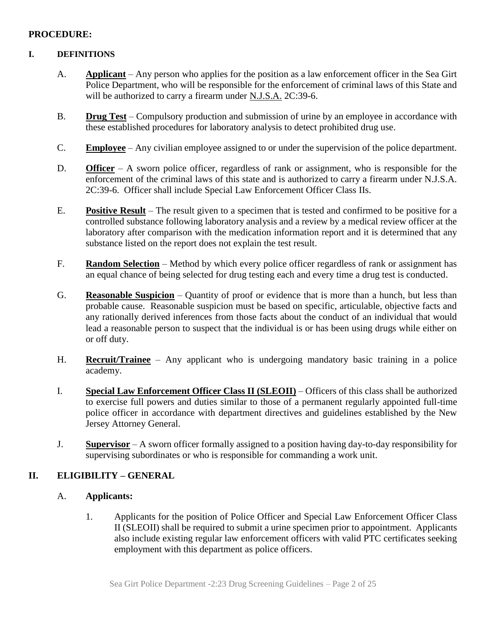#### **PROCEDURE:**

#### **I. DEFINITIONS**

- A. **Applicant** Any person who applies for the position as a law enforcement officer in the Sea Girt Police Department, who will be responsible for the enforcement of criminal laws of this State and will be authorized to carry a firearm under N.J.S.A. 2C:39-6.
- B. **Drug Test** Compulsory production and submission of urine by an employee in accordance with these established procedures for laboratory analysis to detect prohibited drug use.
- C. **Employee** Any civilian employee assigned to or under the supervision of the police department.
- D. **Officer** A sworn police officer, regardless of rank or assignment, who is responsible for the enforcement of the criminal laws of this state and is authorized to carry a firearm under N.J.S.A. 2C:39-6. Officer shall include Special Law Enforcement Officer Class IIs.
- E. **Positive Result** The result given to a specimen that is tested and confirmed to be positive for a controlled substance following laboratory analysis and a review by a medical review officer at the laboratory after comparison with the medication information report and it is determined that any substance listed on the report does not explain the test result.
- F. **Random Selection** Method by which every police officer regardless of rank or assignment has an equal chance of being selected for drug testing each and every time a drug test is conducted.
- G. **Reasonable Suspicion** Quantity of proof or evidence that is more than a hunch, but less than probable cause. Reasonable suspicion must be based on specific, articulable, objective facts and any rationally derived inferences from those facts about the conduct of an individual that would lead a reasonable person to suspect that the individual is or has been using drugs while either on or off duty.
- H. **Recruit/Trainee** Any applicant who is undergoing mandatory basic training in a police academy.
- I. **Special Law Enforcement Officer Class II (SLEOII)** Officers of this class shall be authorized to exercise full powers and duties similar to those of a permanent regularly appointed full-time police officer in accordance with department directives and guidelines established by the New Jersey Attorney General.
- J. **Supervisor** A sworn officer formally assigned to a position having day-to-day responsibility for supervising subordinates or who is responsible for commanding a work unit.

## **II. ELIGIBILITY – GENERAL**

## A. **Applicants:**

1. Applicants for the position of Police Officer and Special Law Enforcement Officer Class II (SLEOII) shall be required to submit a urine specimen prior to appointment. Applicants also include existing regular law enforcement officers with valid PTC certificates seeking employment with this department as police officers.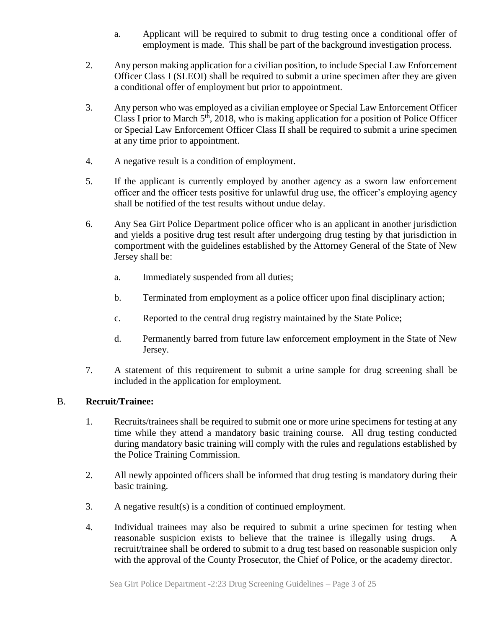- a. Applicant will be required to submit to drug testing once a conditional offer of employment is made. This shall be part of the background investigation process.
- 2. Any person making application for a civilian position, to include Special Law Enforcement Officer Class I (SLEOI) shall be required to submit a urine specimen after they are given a conditional offer of employment but prior to appointment.
- 3. Any person who was employed as a civilian employee or Special Law Enforcement Officer Class I prior to March  $5<sup>th</sup>$ , 2018, who is making application for a position of Police Officer or Special Law Enforcement Officer Class II shall be required to submit a urine specimen at any time prior to appointment.
- 4. A negative result is a condition of employment.
- 5. If the applicant is currently employed by another agency as a sworn law enforcement officer and the officer tests positive for unlawful drug use, the officer's employing agency shall be notified of the test results without undue delay.
- 6. Any Sea Girt Police Department police officer who is an applicant in another jurisdiction and yields a positive drug test result after undergoing drug testing by that jurisdiction in comportment with the guidelines established by the Attorney General of the State of New Jersey shall be:
	- a. Immediately suspended from all duties;
	- b. Terminated from employment as a police officer upon final disciplinary action;
	- c. Reported to the central drug registry maintained by the State Police;
	- d. Permanently barred from future law enforcement employment in the State of New Jersey.
- 7. A statement of this requirement to submit a urine sample for drug screening shall be included in the application for employment.

## B. **Recruit/Trainee:**

- 1. Recruits/trainees shall be required to submit one or more urine specimens for testing at any time while they attend a mandatory basic training course. All drug testing conducted during mandatory basic training will comply with the rules and regulations established by the Police Training Commission.
- 2. All newly appointed officers shall be informed that drug testing is mandatory during their basic training.
- 3. A negative result(s) is a condition of continued employment.
- 4. Individual trainees may also be required to submit a urine specimen for testing when reasonable suspicion exists to believe that the trainee is illegally using drugs. A recruit/trainee shall be ordered to submit to a drug test based on reasonable suspicion only with the approval of the County Prosecutor, the Chief of Police, or the academy director.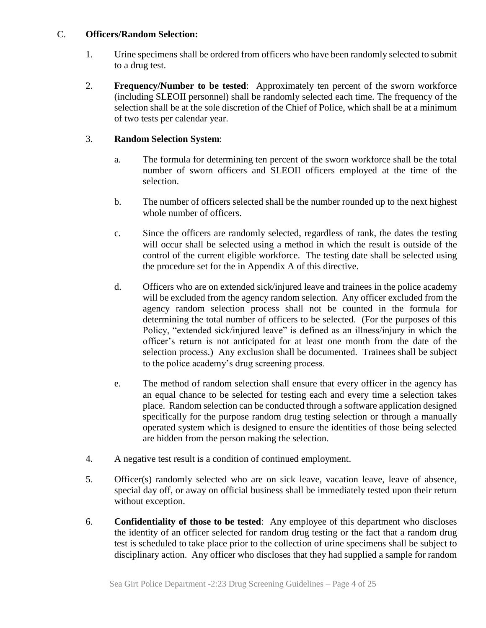#### C. **Officers/Random Selection:**

- 1. Urine specimens shall be ordered from officers who have been randomly selected to submit to a drug test.
- 2. **Frequency/Number to be tested**: Approximately ten percent of the sworn workforce (including SLEOII personnel) shall be randomly selected each time. The frequency of the selection shall be at the sole discretion of the Chief of Police, which shall be at a minimum of two tests per calendar year.

## 3. **Random Selection System**:

- a. The formula for determining ten percent of the sworn workforce shall be the total number of sworn officers and SLEOII officers employed at the time of the selection.
- b. The number of officers selected shall be the number rounded up to the next highest whole number of officers.
- c. Since the officers are randomly selected, regardless of rank, the dates the testing will occur shall be selected using a method in which the result is outside of the control of the current eligible workforce. The testing date shall be selected using the procedure set for the in Appendix A of this directive.
- d. Officers who are on extended sick/injured leave and trainees in the police academy will be excluded from the agency random selection. Any officer excluded from the agency random selection process shall not be counted in the formula for determining the total number of officers to be selected. (For the purposes of this Policy, "extended sick/injured leave" is defined as an illness/injury in which the officer's return is not anticipated for at least one month from the date of the selection process.) Any exclusion shall be documented. Trainees shall be subject to the police academy's drug screening process.
- e. The method of random selection shall ensure that every officer in the agency has an equal chance to be selected for testing each and every time a selection takes place. Random selection can be conducted through a software application designed specifically for the purpose random drug testing selection or through a manually operated system which is designed to ensure the identities of those being selected are hidden from the person making the selection.
- 4. A negative test result is a condition of continued employment.
- 5. Officer(s) randomly selected who are on sick leave, vacation leave, leave of absence, special day off, or away on official business shall be immediately tested upon their return without exception.
- 6. **Confidentiality of those to be tested**: Any employee of this department who discloses the identity of an officer selected for random drug testing or the fact that a random drug test is scheduled to take place prior to the collection of urine specimens shall be subject to disciplinary action. Any officer who discloses that they had supplied a sample for random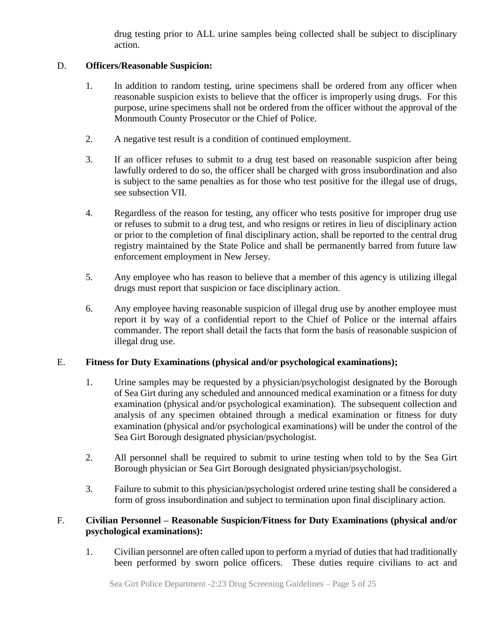drug testing prior to ALL urine samples being collected shall be subject to disciplinary action.

## D. **Officers/Reasonable Suspicion:**

- 1. In addition to random testing, urine specimens shall be ordered from any officer when reasonable suspicion exists to believe that the officer is improperly using drugs. For this purpose, urine specimens shall not be ordered from the officer without the approval of the Monmouth County Prosecutor or the Chief of Police.
- 2. A negative test result is a condition of continued employment.
- 3. If an officer refuses to submit to a drug test based on reasonable suspicion after being lawfully ordered to do so, the officer shall be charged with gross insubordination and also is subject to the same penalties as for those who test positive for the illegal use of drugs, see subsection VII.
- 4. Regardless of the reason for testing, any officer who tests positive for improper drug use or refuses to submit to a drug test, and who resigns or retires in lieu of disciplinary action or prior to the completion of final disciplinary action, shall be reported to the central drug registry maintained by the State Police and shall be permanently barred from future law enforcement employment in New Jersey.
- 5. Any employee who has reason to believe that a member of this agency is utilizing illegal drugs must report that suspicion or face disciplinary action.
- 6. Any employee having reasonable suspicion of illegal drug use by another employee must report it by way of a confidential report to the Chief of Police or the internal affairs commander. The report shall detail the facts that form the basis of reasonable suspicion of illegal drug use.

# E. **Fitness for Duty Examinations (physical and/or psychological examinations);**

- 1. Urine samples may be requested by a physician/psychologist designated by the Borough of Sea Girt during any scheduled and announced medical examination or a fitness for duty examination (physical and/or psychological examination). The subsequent collection and analysis of any specimen obtained through a medical examination or fitness for duty examination (physical and/or psychological examinations) will be under the control of the Sea Girt Borough designated physician/psychologist.
- 2. All personnel shall be required to submit to urine testing when told to by the Sea Girt Borough physician or Sea Girt Borough designated physician/psychologist.
- 3. Failure to submit to this physician/psychologist ordered urine testing shall be considered a form of gross insubordination and subject to termination upon final disciplinary action.

## F. **Civilian Personnel – Reasonable Suspicion/Fitness for Duty Examinations (physical and/or psychological examinations):**

1. Civilian personnel are often called upon to perform a myriad of duties that had traditionally been performed by sworn police officers. These duties require civilians to act and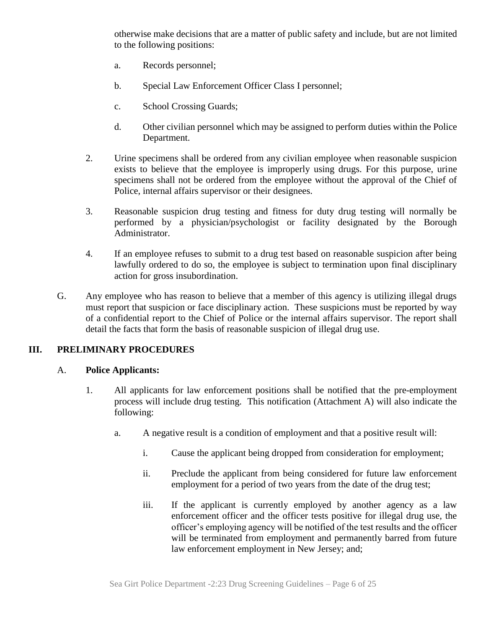otherwise make decisions that are a matter of public safety and include, but are not limited to the following positions:

- a. Records personnel;
- b. Special Law Enforcement Officer Class I personnel;
- c. School Crossing Guards;
- d. Other civilian personnel which may be assigned to perform duties within the Police Department.
- 2. Urine specimens shall be ordered from any civilian employee when reasonable suspicion exists to believe that the employee is improperly using drugs. For this purpose, urine specimens shall not be ordered from the employee without the approval of the Chief of Police, internal affairs supervisor or their designees.
- 3. Reasonable suspicion drug testing and fitness for duty drug testing will normally be performed by a physician/psychologist or facility designated by the Borough Administrator.
- 4. If an employee refuses to submit to a drug test based on reasonable suspicion after being lawfully ordered to do so, the employee is subject to termination upon final disciplinary action for gross insubordination.
- G. Any employee who has reason to believe that a member of this agency is utilizing illegal drugs must report that suspicion or face disciplinary action. These suspicions must be reported by way of a confidential report to the Chief of Police or the internal affairs supervisor. The report shall detail the facts that form the basis of reasonable suspicion of illegal drug use.

## **III. PRELIMINARY PROCEDURES**

## A. **Police Applicants:**

- 1. All applicants for law enforcement positions shall be notified that the pre-employment process will include drug testing. This notification (Attachment A) will also indicate the following:
	- a. A negative result is a condition of employment and that a positive result will:
		- i. Cause the applicant being dropped from consideration for employment;
		- ii. Preclude the applicant from being considered for future law enforcement employment for a period of two years from the date of the drug test;
		- iii. If the applicant is currently employed by another agency as a law enforcement officer and the officer tests positive for illegal drug use, the officer's employing agency will be notified of the test results and the officer will be terminated from employment and permanently barred from future law enforcement employment in New Jersey; and;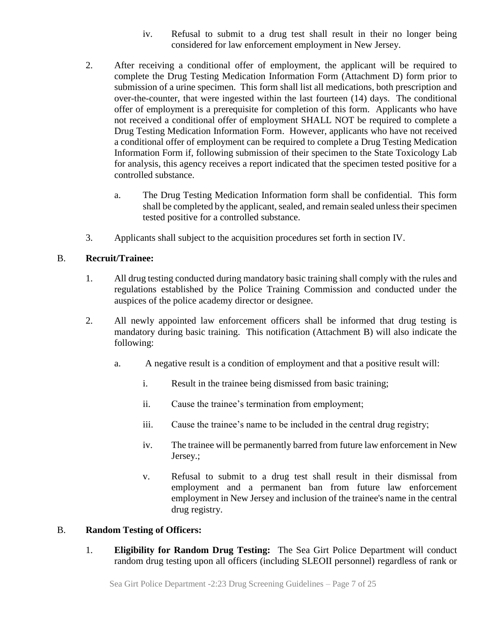- iv. Refusal to submit to a drug test shall result in their no longer being considered for law enforcement employment in New Jersey.
- 2. After receiving a conditional offer of employment, the applicant will be required to complete the Drug Testing Medication Information Form (Attachment D) form prior to submission of a urine specimen. This form shall list all medications, both prescription and over-the-counter, that were ingested within the last fourteen (14) days. The conditional offer of employment is a prerequisite for completion of this form. Applicants who have not received a conditional offer of employment SHALL NOT be required to complete a Drug Testing Medication Information Form. However, applicants who have not received a conditional offer of employment can be required to complete a Drug Testing Medication Information Form if, following submission of their specimen to the State Toxicology Lab for analysis, this agency receives a report indicated that the specimen tested positive for a controlled substance.
	- a. The Drug Testing Medication Information form shall be confidential. This form shall be completed by the applicant, sealed, and remain sealed unless their specimen tested positive for a controlled substance.
- 3. Applicants shall subject to the acquisition procedures set forth in section IV.

# B. **Recruit/Trainee:**

- 1. All drug testing conducted during mandatory basic training shall comply with the rules and regulations established by the Police Training Commission and conducted under the auspices of the police academy director or designee.
- 2. All newly appointed law enforcement officers shall be informed that drug testing is mandatory during basic training. This notification (Attachment B) will also indicate the following:
	- a. A negative result is a condition of employment and that a positive result will:
		- i. Result in the trainee being dismissed from basic training;
		- ii. Cause the trainee's termination from employment;
		- iii. Cause the trainee's name to be included in the central drug registry;
		- iv. The trainee will be permanently barred from future law enforcement in New Jersey.;
		- v. Refusal to submit to a drug test shall result in their dismissal from employment and a permanent ban from future law enforcement employment in New Jersey and inclusion of the trainee's name in the central drug registry.

## B. **Random Testing of Officers:**

1. **Eligibility for Random Drug Testing:** The Sea Girt Police Department will conduct random drug testing upon all officers (including SLEOII personnel) regardless of rank or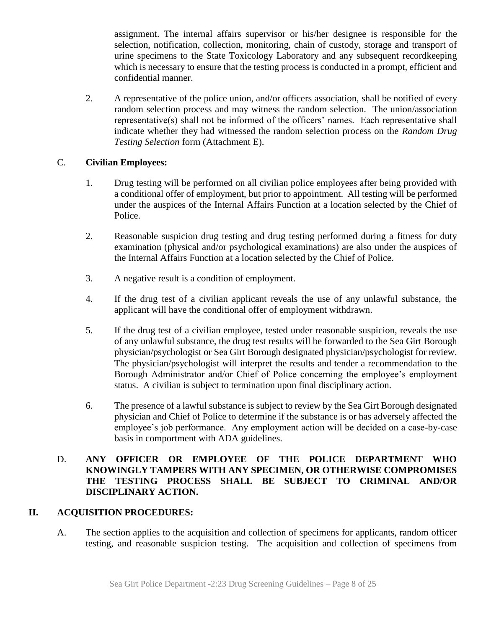assignment. The internal affairs supervisor or his/her designee is responsible for the selection, notification, collection, monitoring, chain of custody, storage and transport of urine specimens to the State Toxicology Laboratory and any subsequent recordkeeping which is necessary to ensure that the testing process is conducted in a prompt, efficient and confidential manner.

2. A representative of the police union, and/or officers association, shall be notified of every random selection process and may witness the random selection. The union/association representative(s) shall not be informed of the officers' names. Each representative shall indicate whether they had witnessed the random selection process on the *Random Drug Testing Selection* form (Attachment E).

## C. **Civilian Employees:**

- 1. Drug testing will be performed on all civilian police employees after being provided with a conditional offer of employment, but prior to appointment. All testing will be performed under the auspices of the Internal Affairs Function at a location selected by the Chief of Police.
- 2. Reasonable suspicion drug testing and drug testing performed during a fitness for duty examination (physical and/or psychological examinations) are also under the auspices of the Internal Affairs Function at a location selected by the Chief of Police.
- 3. A negative result is a condition of employment.
- 4. If the drug test of a civilian applicant reveals the use of any unlawful substance, the applicant will have the conditional offer of employment withdrawn.
- 5. If the drug test of a civilian employee, tested under reasonable suspicion, reveals the use of any unlawful substance, the drug test results will be forwarded to the Sea Girt Borough physician/psychologist or Sea Girt Borough designated physician/psychologist for review. The physician/psychologist will interpret the results and tender a recommendation to the Borough Administrator and/or Chief of Police concerning the employee's employment status. A civilian is subject to termination upon final disciplinary action.
- 6. The presence of a lawful substance is subject to review by the Sea Girt Borough designated physician and Chief of Police to determine if the substance is or has adversely affected the employee's job performance. Any employment action will be decided on a case-by-case basis in comportment with ADA guidelines.

## D. **ANY OFFICER OR EMPLOYEE OF THE POLICE DEPARTMENT WHO KNOWINGLY TAMPERS WITH ANY SPECIMEN, OR OTHERWISE COMPROMISES THE TESTING PROCESS SHALL BE SUBJECT TO CRIMINAL AND/OR DISCIPLINARY ACTION.**

# **II. ACQUISITION PROCEDURES:**

A. The section applies to the acquisition and collection of specimens for applicants, random officer testing, and reasonable suspicion testing. The acquisition and collection of specimens from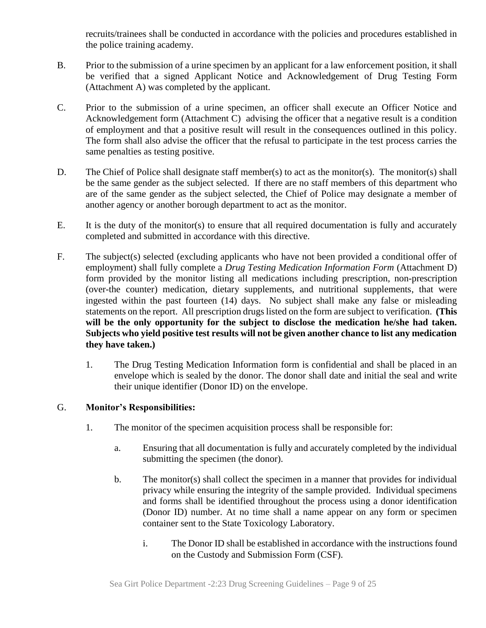recruits/trainees shall be conducted in accordance with the policies and procedures established in the police training academy.

- B. Prior to the submission of a urine specimen by an applicant for a law enforcement position, it shall be verified that a signed Applicant Notice and Acknowledgement of Drug Testing Form (Attachment A) was completed by the applicant.
- C. Prior to the submission of a urine specimen, an officer shall execute an Officer Notice and Acknowledgement form (Attachment C) advising the officer that a negative result is a condition of employment and that a positive result will result in the consequences outlined in this policy. The form shall also advise the officer that the refusal to participate in the test process carries the same penalties as testing positive.
- D. The Chief of Police shall designate staff member(s) to act as the monitor(s). The monitor(s) shall be the same gender as the subject selected. If there are no staff members of this department who are of the same gender as the subject selected, the Chief of Police may designate a member of another agency or another borough department to act as the monitor.
- E. It is the duty of the monitor(s) to ensure that all required documentation is fully and accurately completed and submitted in accordance with this directive.
- F. The subject(s) selected (excluding applicants who have not been provided a conditional offer of employment) shall fully complete a *Drug Testing Medication Information Form* (Attachment D) form provided by the monitor listing all medications including prescription, non-prescription (over-the counter) medication, dietary supplements, and nutritional supplements, that were ingested within the past fourteen (14) days. No subject shall make any false or misleading statements on the report. All prescription drugs listed on the form are subject to verification. **(This will be the only opportunity for the subject to disclose the medication he/she had taken. Subjects who yield positive test results will not be given another chance to list any medication they have taken.)**
	- 1. The Drug Testing Medication Information form is confidential and shall be placed in an envelope which is sealed by the donor. The donor shall date and initial the seal and write their unique identifier (Donor ID) on the envelope.

## G. **Monitor's Responsibilities:**

- 1. The monitor of the specimen acquisition process shall be responsible for:
	- a. Ensuring that all documentation is fully and accurately completed by the individual submitting the specimen (the donor).
	- b. The monitor(s) shall collect the specimen in a manner that provides for individual privacy while ensuring the integrity of the sample provided. Individual specimens and forms shall be identified throughout the process using a donor identification (Donor ID) number. At no time shall a name appear on any form or specimen container sent to the State Toxicology Laboratory.
		- i. The Donor ID shall be established in accordance with the instructions found on the Custody and Submission Form (CSF).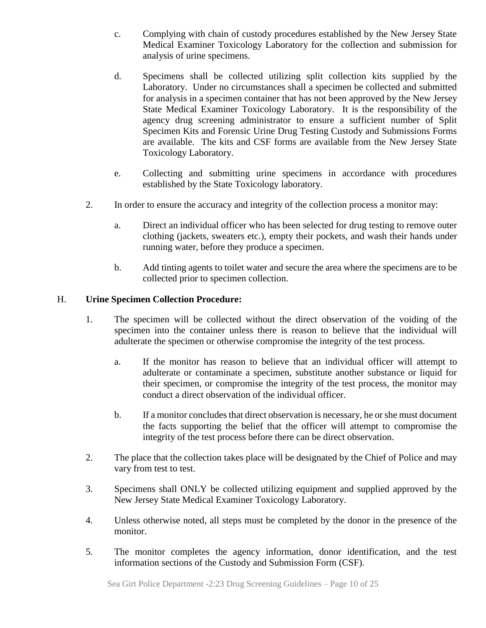- c. Complying with chain of custody procedures established by the New Jersey State Medical Examiner Toxicology Laboratory for the collection and submission for analysis of urine specimens.
- d. Specimens shall be collected utilizing split collection kits supplied by the Laboratory. Under no circumstances shall a specimen be collected and submitted for analysis in a specimen container that has not been approved by the New Jersey State Medical Examiner Toxicology Laboratory. It is the responsibility of the agency drug screening administrator to ensure a sufficient number of Split Specimen Kits and Forensic Urine Drug Testing Custody and Submissions Forms are available. The kits and CSF forms are available from the New Jersey State Toxicology Laboratory.
- e. Collecting and submitting urine specimens in accordance with procedures established by the State Toxicology laboratory.
- 2. In order to ensure the accuracy and integrity of the collection process a monitor may:
	- a. Direct an individual officer who has been selected for drug testing to remove outer clothing (jackets, sweaters etc.), empty their pockets, and wash their hands under running water, before they produce a specimen.
	- b. Add tinting agents to toilet water and secure the area where the specimens are to be collected prior to specimen collection.

## H. **Urine Specimen Collection Procedure:**

- 1. The specimen will be collected without the direct observation of the voiding of the specimen into the container unless there is reason to believe that the individual will adulterate the specimen or otherwise compromise the integrity of the test process.
	- a. If the monitor has reason to believe that an individual officer will attempt to adulterate or contaminate a specimen, substitute another substance or liquid for their specimen, or compromise the integrity of the test process, the monitor may conduct a direct observation of the individual officer.
	- b. If a monitor concludes that direct observation is necessary, he or she must document the facts supporting the belief that the officer will attempt to compromise the integrity of the test process before there can be direct observation.
- 2. The place that the collection takes place will be designated by the Chief of Police and may vary from test to test.
- 3. Specimens shall ONLY be collected utilizing equipment and supplied approved by the New Jersey State Medical Examiner Toxicology Laboratory.
- 4. Unless otherwise noted, all steps must be completed by the donor in the presence of the monitor.
- 5. The monitor completes the agency information, donor identification, and the test information sections of the Custody and Submission Form (CSF).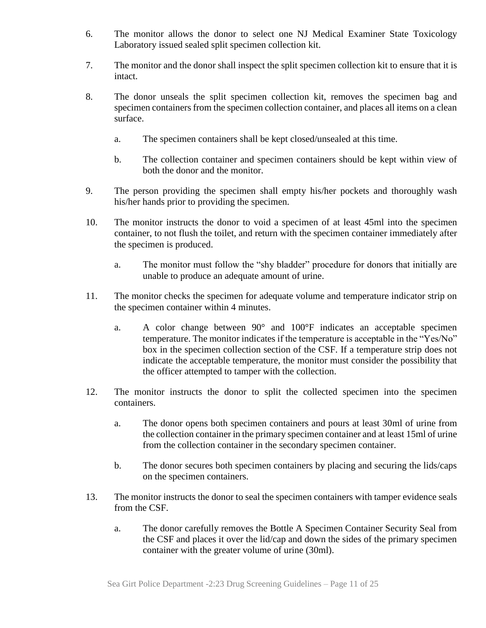- 6. The monitor allows the donor to select one NJ Medical Examiner State Toxicology Laboratory issued sealed split specimen collection kit.
- 7. The monitor and the donor shall inspect the split specimen collection kit to ensure that it is intact.
- 8. The donor unseals the split specimen collection kit, removes the specimen bag and specimen containers from the specimen collection container, and places all items on a clean surface.
	- a. The specimen containers shall be kept closed/unsealed at this time.
	- b. The collection container and specimen containers should be kept within view of both the donor and the monitor.
- 9. The person providing the specimen shall empty his/her pockets and thoroughly wash his/her hands prior to providing the specimen.
- 10. The monitor instructs the donor to void a specimen of at least 45ml into the specimen container, to not flush the toilet, and return with the specimen container immediately after the specimen is produced.
	- a. The monitor must follow the "shy bladder" procedure for donors that initially are unable to produce an adequate amount of urine.
- 11. The monitor checks the specimen for adequate volume and temperature indicator strip on the specimen container within 4 minutes.
	- a. A color change between 90° and 100°F indicates an acceptable specimen temperature. The monitor indicates if the temperature is acceptable in the "Yes/No" box in the specimen collection section of the CSF. If a temperature strip does not indicate the acceptable temperature, the monitor must consider the possibility that the officer attempted to tamper with the collection.
- 12. The monitor instructs the donor to split the collected specimen into the specimen containers.
	- a. The donor opens both specimen containers and pours at least 30ml of urine from the collection container in the primary specimen container and at least 15ml of urine from the collection container in the secondary specimen container.
	- b. The donor secures both specimen containers by placing and securing the lids/caps on the specimen containers.
- 13. The monitor instructs the donor to seal the specimen containers with tamper evidence seals from the CSF.
	- a. The donor carefully removes the Bottle A Specimen Container Security Seal from the CSF and places it over the lid/cap and down the sides of the primary specimen container with the greater volume of urine (30ml).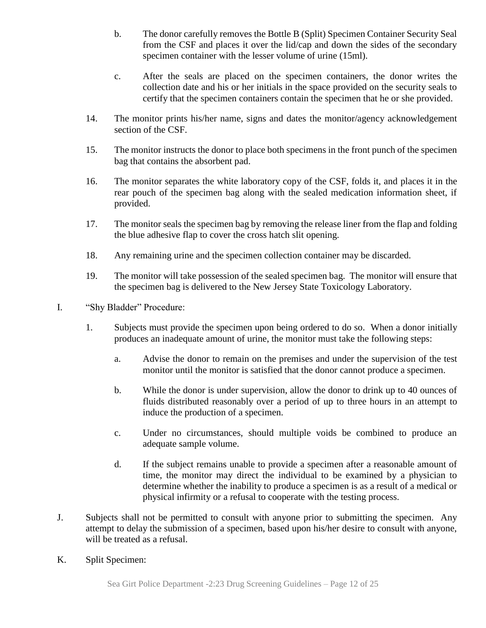- b. The donor carefully removes the Bottle B (Split) Specimen Container Security Seal from the CSF and places it over the lid/cap and down the sides of the secondary specimen container with the lesser volume of urine (15ml).
- c. After the seals are placed on the specimen containers, the donor writes the collection date and his or her initials in the space provided on the security seals to certify that the specimen containers contain the specimen that he or she provided.
- 14. The monitor prints his/her name, signs and dates the monitor/agency acknowledgement section of the CSF.
- 15. The monitor instructs the donor to place both specimens in the front punch of the specimen bag that contains the absorbent pad.
- 16. The monitor separates the white laboratory copy of the CSF, folds it, and places it in the rear pouch of the specimen bag along with the sealed medication information sheet, if provided.
- 17. The monitor seals the specimen bag by removing the release liner from the flap and folding the blue adhesive flap to cover the cross hatch slit opening.
- 18. Any remaining urine and the specimen collection container may be discarded.
- 19. The monitor will take possession of the sealed specimen bag. The monitor will ensure that the specimen bag is delivered to the New Jersey State Toxicology Laboratory.
- I. "Shy Bladder" Procedure:
	- 1. Subjects must provide the specimen upon being ordered to do so. When a donor initially produces an inadequate amount of urine, the monitor must take the following steps:
		- a. Advise the donor to remain on the premises and under the supervision of the test monitor until the monitor is satisfied that the donor cannot produce a specimen.
		- b. While the donor is under supervision, allow the donor to drink up to 40 ounces of fluids distributed reasonably over a period of up to three hours in an attempt to induce the production of a specimen.
		- c. Under no circumstances, should multiple voids be combined to produce an adequate sample volume.
		- d. If the subject remains unable to provide a specimen after a reasonable amount of time, the monitor may direct the individual to be examined by a physician to determine whether the inability to produce a specimen is as a result of a medical or physical infirmity or a refusal to cooperate with the testing process.
- J. Subjects shall not be permitted to consult with anyone prior to submitting the specimen. Any attempt to delay the submission of a specimen, based upon his/her desire to consult with anyone, will be treated as a refusal.
- K. Split Specimen: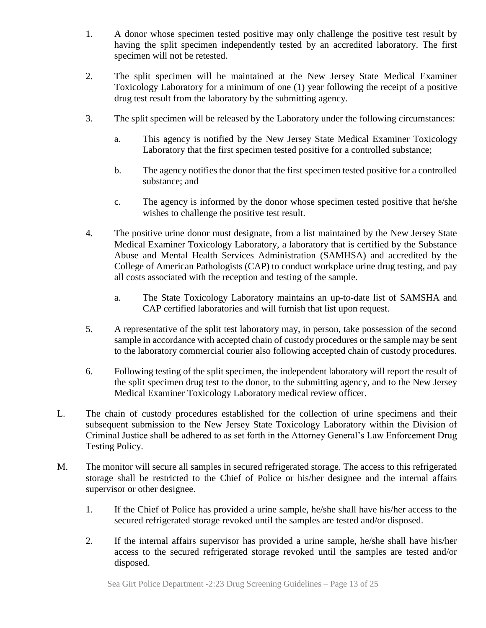- 1. A donor whose specimen tested positive may only challenge the positive test result by having the split specimen independently tested by an accredited laboratory. The first specimen will not be retested.
- 2. The split specimen will be maintained at the New Jersey State Medical Examiner Toxicology Laboratory for a minimum of one (1) year following the receipt of a positive drug test result from the laboratory by the submitting agency.
- 3. The split specimen will be released by the Laboratory under the following circumstances:
	- a. This agency is notified by the New Jersey State Medical Examiner Toxicology Laboratory that the first specimen tested positive for a controlled substance;
	- b. The agency notifies the donor that the first specimen tested positive for a controlled substance; and
	- c. The agency is informed by the donor whose specimen tested positive that he/she wishes to challenge the positive test result.
- 4. The positive urine donor must designate, from a list maintained by the New Jersey State Medical Examiner Toxicology Laboratory, a laboratory that is certified by the Substance Abuse and Mental Health Services Administration (SAMHSA) and accredited by the College of American Pathologists (CAP) to conduct workplace urine drug testing, and pay all costs associated with the reception and testing of the sample.
	- a. The State Toxicology Laboratory maintains an up-to-date list of SAMSHA and CAP certified laboratories and will furnish that list upon request.
- 5. A representative of the split test laboratory may, in person, take possession of the second sample in accordance with accepted chain of custody procedures or the sample may be sent to the laboratory commercial courier also following accepted chain of custody procedures.
- 6. Following testing of the split specimen, the independent laboratory will report the result of the split specimen drug test to the donor, to the submitting agency, and to the New Jersey Medical Examiner Toxicology Laboratory medical review officer.
- L. The chain of custody procedures established for the collection of urine specimens and their subsequent submission to the New Jersey State Toxicology Laboratory within the Division of Criminal Justice shall be adhered to as set forth in the Attorney General's Law Enforcement Drug Testing Policy.
- M. The monitor will secure all samples in secured refrigerated storage. The access to this refrigerated storage shall be restricted to the Chief of Police or his/her designee and the internal affairs supervisor or other designee.
	- 1. If the Chief of Police has provided a urine sample, he/she shall have his/her access to the secured refrigerated storage revoked until the samples are tested and/or disposed.
	- 2. If the internal affairs supervisor has provided a urine sample, he/she shall have his/her access to the secured refrigerated storage revoked until the samples are tested and/or disposed.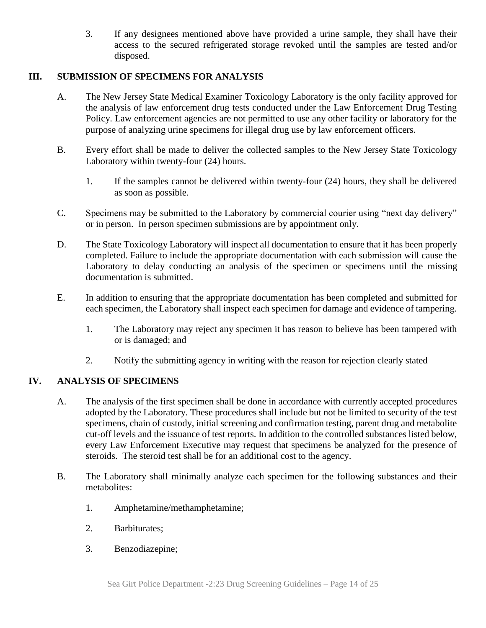3. If any designees mentioned above have provided a urine sample, they shall have their access to the secured refrigerated storage revoked until the samples are tested and/or disposed.

# **III. SUBMISSION OF SPECIMENS FOR ANALYSIS**

- A. The New Jersey State Medical Examiner Toxicology Laboratory is the only facility approved for the analysis of law enforcement drug tests conducted under the Law Enforcement Drug Testing Policy. Law enforcement agencies are not permitted to use any other facility or laboratory for the purpose of analyzing urine specimens for illegal drug use by law enforcement officers.
- B. Every effort shall be made to deliver the collected samples to the New Jersey State Toxicology Laboratory within twenty-four (24) hours.
	- 1. If the samples cannot be delivered within twenty-four (24) hours, they shall be delivered as soon as possible.
- C. Specimens may be submitted to the Laboratory by commercial courier using "next day delivery" or in person. In person specimen submissions are by appointment only.
- D. The State Toxicology Laboratory will inspect all documentation to ensure that it has been properly completed. Failure to include the appropriate documentation with each submission will cause the Laboratory to delay conducting an analysis of the specimen or specimens until the missing documentation is submitted.
- E. In addition to ensuring that the appropriate documentation has been completed and submitted for each specimen, the Laboratory shall inspect each specimen for damage and evidence of tampering.
	- 1. The Laboratory may reject any specimen it has reason to believe has been tampered with or is damaged; and
	- 2. Notify the submitting agency in writing with the reason for rejection clearly stated

## **IV. ANALYSIS OF SPECIMENS**

- A. The analysis of the first specimen shall be done in accordance with currently accepted procedures adopted by the Laboratory. These procedures shall include but not be limited to security of the test specimens, chain of custody, initial screening and confirmation testing, parent drug and metabolite cut-off levels and the issuance of test reports. In addition to the controlled substances listed below, every Law Enforcement Executive may request that specimens be analyzed for the presence of steroids. The steroid test shall be for an additional cost to the agency.
- B. The Laboratory shall minimally analyze each specimen for the following substances and their metabolites:
	- 1. Amphetamine/methamphetamine;
	- 2. Barbiturates;
	- 3. Benzodiazepine;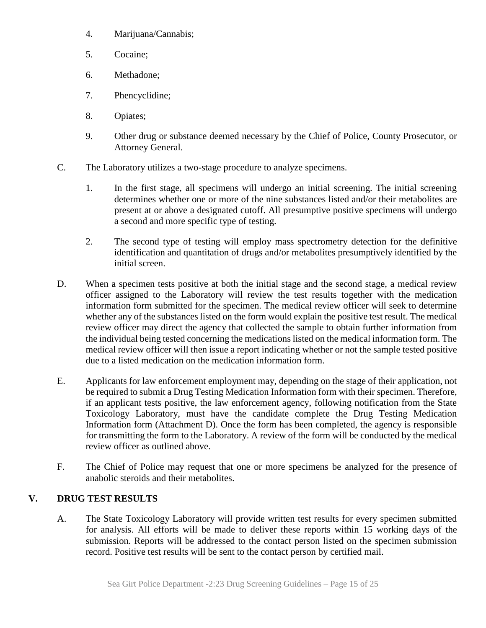- 4. Marijuana/Cannabis;
- 5. Cocaine;
- 6. Methadone;
- 7. Phencyclidine;
- 8. Opiates;
- 9. Other drug or substance deemed necessary by the Chief of Police, County Prosecutor, or Attorney General.
- C. The Laboratory utilizes a two-stage procedure to analyze specimens.
	- 1. In the first stage, all specimens will undergo an initial screening. The initial screening determines whether one or more of the nine substances listed and/or their metabolites are present at or above a designated cutoff. All presumptive positive specimens will undergo a second and more specific type of testing.
	- 2. The second type of testing will employ mass spectrometry detection for the definitive identification and quantitation of drugs and/or metabolites presumptively identified by the initial screen.
- D. When a specimen tests positive at both the initial stage and the second stage, a medical review officer assigned to the Laboratory will review the test results together with the medication information form submitted for the specimen. The medical review officer will seek to determine whether any of the substances listed on the form would explain the positive test result. The medical review officer may direct the agency that collected the sample to obtain further information from the individual being tested concerning the medications listed on the medical information form. The medical review officer will then issue a report indicating whether or not the sample tested positive due to a listed medication on the medication information form.
- E. Applicants for law enforcement employment may, depending on the stage of their application, not be required to submit a Drug Testing Medication Information form with their specimen. Therefore, if an applicant tests positive, the law enforcement agency, following notification from the State Toxicology Laboratory, must have the candidate complete the Drug Testing Medication Information form (Attachment D). Once the form has been completed, the agency is responsible for transmitting the form to the Laboratory. A review of the form will be conducted by the medical review officer as outlined above.
- F. The Chief of Police may request that one or more specimens be analyzed for the presence of anabolic steroids and their metabolites.

# **V. DRUG TEST RESULTS**

A. The State Toxicology Laboratory will provide written test results for every specimen submitted for analysis. All efforts will be made to deliver these reports within 15 working days of the submission. Reports will be addressed to the contact person listed on the specimen submission record. Positive test results will be sent to the contact person by certified mail.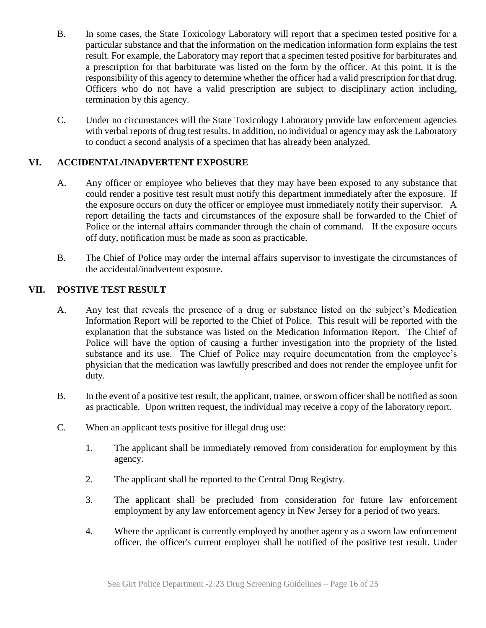- B. In some cases, the State Toxicology Laboratory will report that a specimen tested positive for a particular substance and that the information on the medication information form explains the test result. For example, the Laboratory may report that a specimen tested positive for barbiturates and a prescription for that barbiturate was listed on the form by the officer. At this point, it is the responsibility of this agency to determine whether the officer had a valid prescription for that drug. Officers who do not have a valid prescription are subject to disciplinary action including, termination by this agency.
- C. Under no circumstances will the State Toxicology Laboratory provide law enforcement agencies with verbal reports of drug test results. In addition, no individual or agency may ask the Laboratory to conduct a second analysis of a specimen that has already been analyzed.

# **VI. ACCIDENTAL/INADVERTENT EXPOSURE**

- A. Any officer or employee who believes that they may have been exposed to any substance that could render a positive test result must notify this department immediately after the exposure. If the exposure occurs on duty the officer or employee must immediately notify their supervisor. A report detailing the facts and circumstances of the exposure shall be forwarded to the Chief of Police or the internal affairs commander through the chain of command. If the exposure occurs off duty, notification must be made as soon as practicable.
- B. The Chief of Police may order the internal affairs supervisor to investigate the circumstances of the accidental/inadvertent exposure.

## **VII. POSTIVE TEST RESULT**

- A. Any test that reveals the presence of a drug or substance listed on the subject's Medication Information Report will be reported to the Chief of Police. This result will be reported with the explanation that the substance was listed on the Medication Information Report. The Chief of Police will have the option of causing a further investigation into the propriety of the listed substance and its use. The Chief of Police may require documentation from the employee's physician that the medication was lawfully prescribed and does not render the employee unfit for duty.
- B. In the event of a positive test result, the applicant, trainee, or sworn officer shall be notified as soon as practicable. Upon written request, the individual may receive a copy of the laboratory report.
- C. When an applicant tests positive for illegal drug use:
	- 1. The applicant shall be immediately removed from consideration for employment by this agency.
	- 2. The applicant shall be reported to the Central Drug Registry.
	- 3. The applicant shall be precluded from consideration for future law enforcement employment by any law enforcement agency in New Jersey for a period of two years.
	- 4. Where the applicant is currently employed by another agency as a sworn law enforcement officer, the officer's current employer shall be notified of the positive test result. Under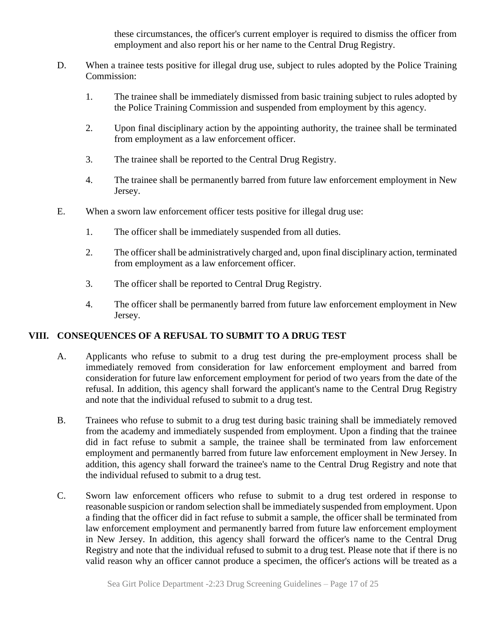these circumstances, the officer's current employer is required to dismiss the officer from employment and also report his or her name to the Central Drug Registry.

- D. When a trainee tests positive for illegal drug use, subject to rules adopted by the Police Training Commission:
	- 1. The trainee shall be immediately dismissed from basic training subject to rules adopted by the Police Training Commission and suspended from employment by this agency.
	- 2. Upon final disciplinary action by the appointing authority, the trainee shall be terminated from employment as a law enforcement officer.
	- 3. The trainee shall be reported to the Central Drug Registry.
	- 4. The trainee shall be permanently barred from future law enforcement employment in New Jersey.
- E. When a sworn law enforcement officer tests positive for illegal drug use:
	- 1. The officer shall be immediately suspended from all duties.
	- 2. The officer shall be administratively charged and, upon final disciplinary action, terminated from employment as a law enforcement officer.
	- 3. The officer shall be reported to Central Drug Registry.
	- 4. The officer shall be permanently barred from future law enforcement employment in New Jersey.

## **VIII. CONSEQUENCES OF A REFUSAL TO SUBMIT TO A DRUG TEST**

- A. Applicants who refuse to submit to a drug test during the pre-employment process shall be immediately removed from consideration for law enforcement employment and barred from consideration for future law enforcement employment for period of two years from the date of the refusal. In addition, this agency shall forward the applicant's name to the Central Drug Registry and note that the individual refused to submit to a drug test.
- B. Trainees who refuse to submit to a drug test during basic training shall be immediately removed from the academy and immediately suspended from employment. Upon a finding that the trainee did in fact refuse to submit a sample, the trainee shall be terminated from law enforcement employment and permanently barred from future law enforcement employment in New Jersey. In addition, this agency shall forward the trainee's name to the Central Drug Registry and note that the individual refused to submit to a drug test.
- C. Sworn law enforcement officers who refuse to submit to a drug test ordered in response to reasonable suspicion or random selection shall be immediately suspended from employment. Upon a finding that the officer did in fact refuse to submit a sample, the officer shall be terminated from law enforcement employment and permanently barred from future law enforcement employment in New Jersey. In addition, this agency shall forward the officer's name to the Central Drug Registry and note that the individual refused to submit to a drug test. Please note that if there is no valid reason why an officer cannot produce a specimen, the officer's actions will be treated as a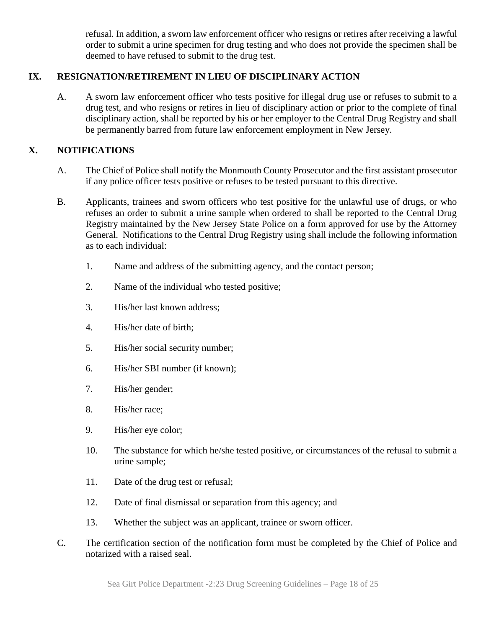refusal. In addition, a sworn law enforcement officer who resigns or retires after receiving a lawful order to submit a urine specimen for drug testing and who does not provide the specimen shall be deemed to have refused to submit to the drug test.

# **IX. RESIGNATION/RETIREMENT IN LIEU OF DISCIPLINARY ACTION**

A. A sworn law enforcement officer who tests positive for illegal drug use or refuses to submit to a drug test, and who resigns or retires in lieu of disciplinary action or prior to the complete of final disciplinary action, shall be reported by his or her employer to the Central Drug Registry and shall be permanently barred from future law enforcement employment in New Jersey.

# **X. NOTIFICATIONS**

- A. The Chief of Police shall notify the Monmouth County Prosecutor and the first assistant prosecutor if any police officer tests positive or refuses to be tested pursuant to this directive.
- B. Applicants, trainees and sworn officers who test positive for the unlawful use of drugs, or who refuses an order to submit a urine sample when ordered to shall be reported to the Central Drug Registry maintained by the New Jersey State Police on a form approved for use by the Attorney General. Notifications to the Central Drug Registry using shall include the following information as to each individual:
	- 1. Name and address of the submitting agency, and the contact person;
	- 2. Name of the individual who tested positive;
	- 3. His/her last known address;
	- 4. His/her date of birth;
	- 5. His/her social security number;
	- 6. His/her SBI number (if known);
	- 7. His/her gender;
	- 8. His/her race;
	- 9. His/her eye color;
	- 10. The substance for which he/she tested positive, or circumstances of the refusal to submit a urine sample;
	- 11. Date of the drug test or refusal;
	- 12. Date of final dismissal or separation from this agency; and
	- 13. Whether the subject was an applicant, trainee or sworn officer.
- C. The certification section of the notification form must be completed by the Chief of Police and notarized with a raised seal.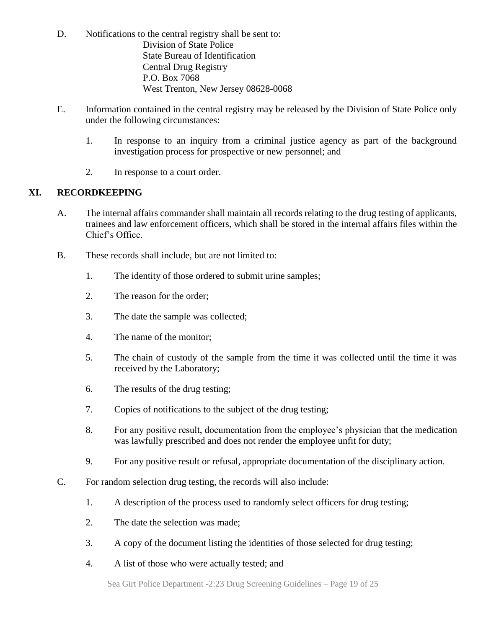- D. Notifications to the central registry shall be sent to: Division of State Police State Bureau of Identification Central Drug Registry P.O. Box 7068 West Trenton, New Jersey 08628-0068
- E. Information contained in the central registry may be released by the Division of State Police only under the following circumstances:
	- 1. In response to an inquiry from a criminal justice agency as part of the background investigation process for prospective or new personnel; and
	- 2. In response to a court order.

# **XI. RECORDKEEPING**

- A. The internal affairs commander shall maintain all records relating to the drug testing of applicants, trainees and law enforcement officers, which shall be stored in the internal affairs files within the Chief's Office.
- B. These records shall include, but are not limited to:
	- 1. The identity of those ordered to submit urine samples;
	- 2. The reason for the order;
	- 3. The date the sample was collected;
	- 4. The name of the monitor;
	- 5. The chain of custody of the sample from the time it was collected until the time it was received by the Laboratory;
	- 6. The results of the drug testing;
	- 7. Copies of notifications to the subject of the drug testing;
	- 8. For any positive result, documentation from the employee's physician that the medication was lawfully prescribed and does not render the employee unfit for duty;
	- 9. For any positive result or refusal, appropriate documentation of the disciplinary action.
- C. For random selection drug testing, the records will also include:
	- 1. A description of the process used to randomly select officers for drug testing;
	- 2. The date the selection was made;
	- 3. A copy of the document listing the identities of those selected for drug testing;
	- 4. A list of those who were actually tested; and

Sea Girt Police Department -2:23 Drug Screening Guidelines – Page 19 of 25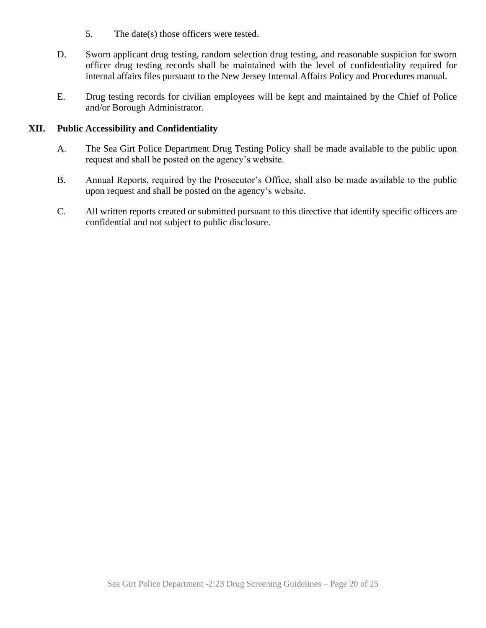- 5. The date(s) those officers were tested.
- D. Sworn applicant drug testing, random selection drug testing, and reasonable suspicion for sworn officer drug testing records shall be maintained with the level of confidentiality required for internal affairs files pursuant to the New Jersey Internal Affairs Policy and Procedures manual.
- E. Drug testing records for civilian employees will be kept and maintained by the Chief of Police and/or Borough Administrator.

#### **XII. Public Accessibility and Confidentiality**

- A. The Sea Girt Police Department Drug Testing Policy shall be made available to the public upon request and shall be posted on the agency's website.
- B. Annual Reports, required by the Prosecutor's Office, shall also be made available to the public upon request and shall be posted on the agency's website.
- C. All written reports created or submitted pursuant to this directive that identify specific officers are confidential and not subject to public disclosure.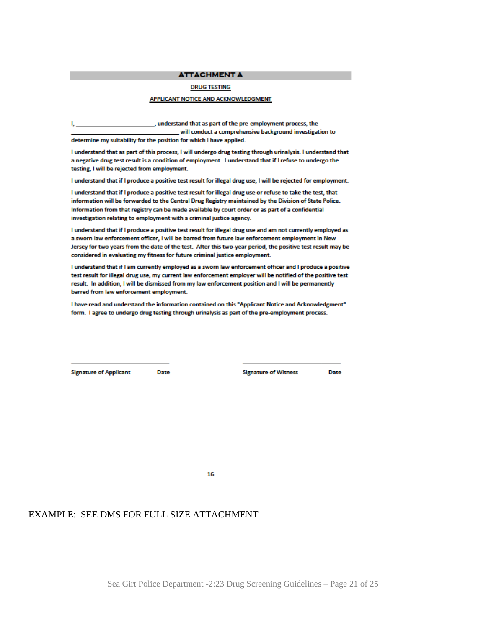**ATTACHMENT A** 

#### **DRUG TESTING**

#### APPLICANT NOTICE AND ACKNOWLEDGMENT

, understand that as part of the pre-employment process, the will conduct a comprehensive background investigation to

determine my suitability for the position for which I have applied.

I understand that as part of this process, I will undergo drug testing through urinalysis. I understand that a negative drug test result is a condition of employment. I understand that if I refuse to undergo the testing, I will be rejected from employment.

I understand that if I produce a positive test result for illegal drug use, I will be rejected for employment.

I understand that if I produce a positive test result for illegal drug use or refuse to take the test, that information will be forwarded to the Central Drug Registry maintained by the Division of State Police. Information from that registry can be made available by court order or as part of a confidential investigation relating to employment with a criminal justice agency.

I understand that if I produce a positive test result for illegal drug use and am not currently employed as a sworn law enforcement officer, I will be barred from future law enforcement employment in New Jersey for two years from the date of the test. After this two-year period, the positive test result may be considered in evaluating my fitness for future criminal justice employment.

I understand that if I am currently employed as a sworn law enforcement officer and I produce a positive test result for illegal drug use, my current law enforcement employer will be notified of the positive test result. In addition, I will be dismissed from my law enforcement position and I will be permanently barred from law enforcement employment.

I have read and understand the information contained on this "Applicant Notice and Acknowledgment" form. I agree to undergo drug testing through urinalysis as part of the pre-employment process.

**Signature of Applicant** 

**Date** 

**Signature of Witness** 

**Date** 

16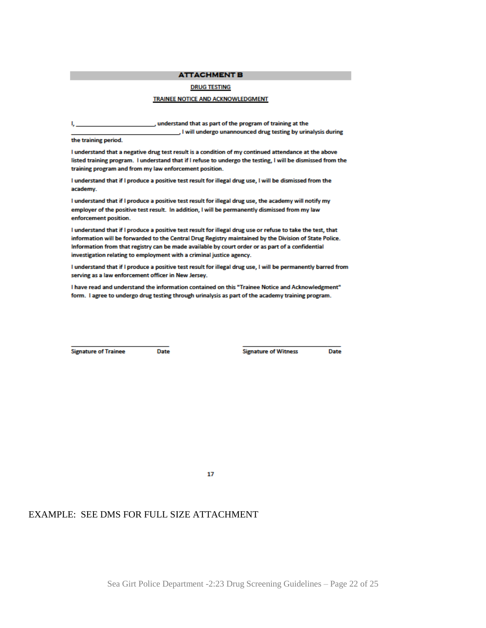#### **ATTACHMENT B**

#### **DRUG TESTING**

#### TRAINEE NOTICE AND ACKNOWLEDGMENT

, understand that as part of the program of training at the

J will undergo unannounced drug testing by urinalysis during

the training period.

I understand that a negative drug test result is a condition of my continued attendance at the above listed training program. I understand that if I refuse to undergo the testing, I will be dismissed from the training program and from my law enforcement position.

I understand that if I produce a positive test result for illegal drug use, I will be dismissed from the academy.

I understand that if I produce a positive test result for illegal drug use, the academy will notify my employer of the positive test result. In addition, I will be permanently dismissed from my law enforcement position.

I understand that if I produce a positive test result for illegal drug use or refuse to take the test, that information will be forwarded to the Central Drug Registry maintained by the Division of State Police. Information from that registry can be made available by court order or as part of a confidential investigation relating to employment with a criminal justice agency.

I understand that if I produce a positive test result for illegal drug use, I will be permanently barred from serving as a law enforcement officer in New Jersey.

I have read and understand the information contained on this "Trainee Notice and Acknowledgment" form. I agree to undergo drug testing through urinalysis as part of the academy training program.

**Signature of Trainee** 

Date

**Signature of Witness** 

Date

17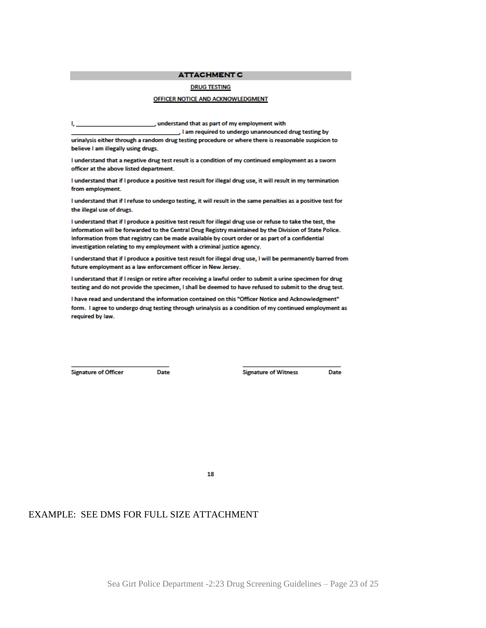#### **ATTACHMENT C**

#### **DRUG TESTING**

#### OFFICER NOTICE AND ACKNOWLEDGMENT

, understand that as part of my employment with

J I am required to undergo unannounced drug testing by urinalysis either through a random drug testing procedure or where there is reasonable suspicion to believe I am illegally using drugs.

I understand that a negative drug test result is a condition of my continued employment as a sworn officer at the above listed department.

I understand that if I produce a positive test result for illegal drug use, it will result in my termination from employment.

I understand that if I refuse to undergo testing, it will result in the same penalties as a positive test for the illegal use of drugs.

I understand that if I produce a positive test result for illegal drug use or refuse to take the test, the information will be forwarded to the Central Drug Registry maintained by the Division of State Police. Information from that registry can be made available by court order or as part of a confidential investigation relating to my employment with a criminal justice agency.

I understand that if I produce a positive test result for illegal drug use, I will be permanently barred from future employment as a law enforcement officer in New Jersey.

I understand that if I resign or retire after receiving a lawful order to submit a urine specimen for drug testing and do not provide the specimen, I shall be deemed to have refused to submit to the drug test.

I have read and understand the information contained on this "Officer Notice and Acknowledgment" form. I agree to undergo drug testing through urinalysis as a condition of my continued employment as required by law.

**Signature of Officer** 

**Date** 

**Signature of Witness** 

**Date** 

18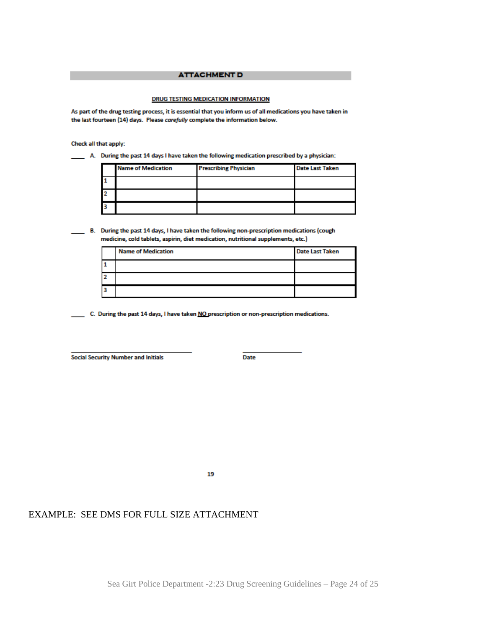#### **ATTACHMENT D**

#### DRUG TESTING MEDICATION INFORMATION

As part of the drug testing process, it is essential that you inform us of all medications you have taken in the last fourteen (14) days. Please carefully complete the information below.

Check all that apply:

\_\_\_\_ A. During the past 14 days I have taken the following medication prescribed by a physician:

| <b>Name of Medication</b> | <b>Prescribing Physician</b> | <b>Date Last Taken</b> |
|---------------------------|------------------------------|------------------------|
|                           |                              |                        |
|                           |                              |                        |
|                           |                              |                        |

B. During the past 14 days, I have taken the following non-prescription medications (cough medicine, cold tablets, aspirin, diet medication, nutritional supplements, etc.)

| <b>Name of Medication</b> | <b>Date Last Taken</b> |
|---------------------------|------------------------|
|                           |                        |
|                           |                        |
|                           |                        |

C. During the past 14 days, I have taken NO prescription or non-prescription medications.

**Social Security Number and Initials** 

Date

19